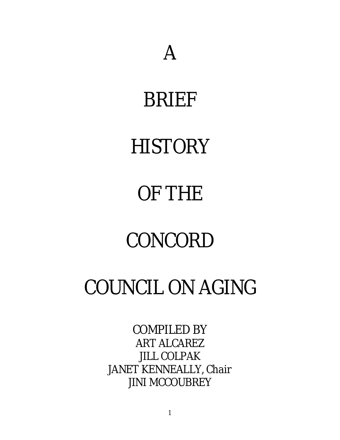## BRIEF

# **HISTORY**

# OF THE

## CONCORD

## COUNCIL ON AGING

## COMPILED BY ART ALCAREZ JILL COLPAK JANET KENNEALLY, Chair JINI MCCOUBREY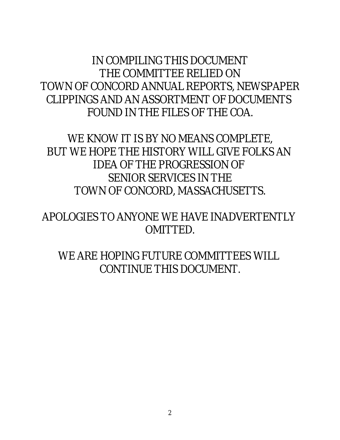IN COMPILING THIS DOCUMENT THE COMMITTEE RELIED ON TOWN OF CONCORD ANNUAL REPORTS, NEWSPAPER CLIPPINGS AND AN ASSORTMENT OF DOCUMENTS FOUND IN THE FILES OF THE COA.

WE KNOW IT IS BY NO MEANS COMPLETE, BUT WE HOPE THE HISTORY WILL GIVE FOLKS AN IDEA OF THE PROGRESSION OF SENIOR SERVICES IN THE TOWN OF CONCORD, MASSACHUSETTS.

APOLOGIES TO ANYONE WE HAVE INADVERTENTLY OMITTED.

WE ARE HOPING FUTURE COMMITTEES WILL CONTINUE THIS DOCUMENT.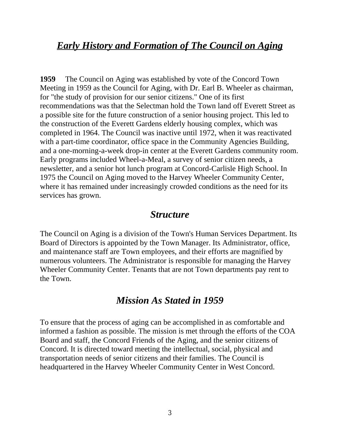## *Early History and Formation of The Council on Aging*

**1959** The Council on Aging was established by vote of the Concord Town Meeting in 1959 as the Council for Aging, with Dr. Earl B. Wheeler as chairman, for "the study of provision for our senior citizens." One of its first recommendations was that the Selectman hold the Town land off Everett Street as a possible site for the future construction of a senior housing project. This led to the construction of the Everett Gardens elderly housing complex, which was completed in 1964. The Council was inactive until 1972, when it was reactivated with a part-time coordinator, office space in the Community Agencies Building, and a one-morning-a-week drop-in center at the Everett Gardens community room. Early programs included Wheel-a-Meal, a survey of senior citizen needs, a newsletter, and a senior hot lunch program at Concord-Carlisle High School. In 1975 the Council on Aging moved to the Harvey Wheeler Community Center, where it has remained under increasingly crowded conditions as the need for its services has grown.

#### *Structure*

The Council on Aging is a division of the Town's Human Services Department. Its Board of Directors is appointed by the Town Manager. Its Administrator, office, and maintenance staff are Town employees, and their efforts are magnified by numerous volunteers. The Administrator is responsible for managing the Harvey Wheeler Community Center. Tenants that are not Town departments pay rent to the Town.

### *Mission As Stated in 1959*

To ensure that the process of aging can be accomplished in as comfortable and informed a fashion as possible. The mission is met through the efforts of the COA Board and staff, the Concord Friends of the Aging, and the senior citizens of Concord. It is directed toward meeting the intellectual, social, physical and transportation needs of senior citizens and their families. The Council is headquartered in the Harvey Wheeler Community Center in West Concord.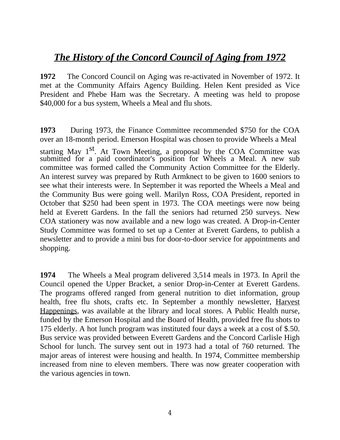## *The History of the Concord Council of Aging from 1972*

**1972** The Concord Council on Aging was re-activated in November of 1972. It met at the Community Affairs Agency Building. Helen Kent presided as Vice President and Phebe Ham was the Secretary. A meeting was held to propose \$40,000 for a bus system, Wheels a Meal and flu shots.

**1973** During 1973, the Finance Committee recommended \$750 for the COA over an 18-month period. Emerson Hospital was chosen to provide Wheels a Meal

starting May 1<sup>st</sup>. At Town Meeting, a proposal by the COA Committee was submitted for a paid coordinator's position for Wheels a Meal. A new sub committee was formed called the Community Action Committee for the Elderly. An interest survey was prepared by Ruth Armknect to be given to 1600 seniors to see what their interests were. In September it was reported the Wheels a Meal and the Community Bus were going well. Marilyn Ross, COA President, reported in October that \$250 had been spent in 1973. The COA meetings were now being held at Everett Gardens. In the fall the seniors had returned 250 surveys. New COA stationery was now available and a new logo was created. A Drop-in-Center Study Committee was formed to set up a Center at Everett Gardens, to publish a newsletter and to provide a mini bus for door-to-door service for appointments and shopping.

**1974** The Wheels a Meal program delivered 3,514 meals in 1973. In April the Council opened the Upper Bracket, a senior Drop-in-Center at Everett Gardens. The programs offered ranged from general nutrition to diet information, group health, free flu shots, crafts etc. In September a monthly newsletter, Harvest Happenings, was available at the library and local stores. A Public Health nurse, funded by the Emerson Hospital and the Board of Health, provided free flu shots to 175 elderly. A hot lunch program was instituted four days a week at a cost of \$.50. Bus service was provided between Everett Gardens and the Concord Carlisle High School for lunch. The survey sent out in 1973 had a total of 760 returned. The major areas of interest were housing and health. In 1974, Committee membership increased from nine to eleven members. There was now greater cooperation with the various agencies in town.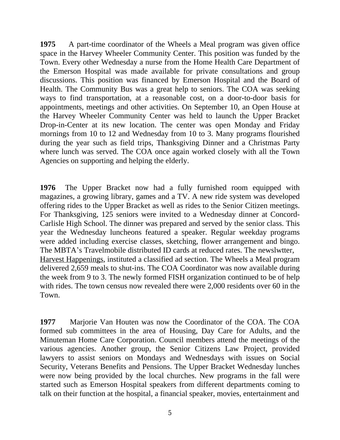**1975** A part-time coordinator of the Wheels a Meal program was given office space in the Harvey Wheeler Community Center. This position was funded by the Town. Every other Wednesday a nurse from the Home Health Care Department of the Emerson Hospital was made available for private consultations and group discussions. This position was financed by Emerson Hospital and the Board of Health. The Community Bus was a great help to seniors. The COA was seeking ways to find transportation, at a reasonable cost, on a door-to-door basis for appointments, meetings and other activities. On September 10, an Open House at the Harvey Wheeler Community Center was held to launch the Upper Bracket Drop-in-Center at its new location. The center was open Monday and Friday mornings from 10 to 12 and Wednesday from 10 to 3. Many programs flourished during the year such as field trips, Thanksgiving Dinner and a Christmas Party where lunch was served. The COA once again worked closely with all the Town Agencies on supporting and helping the elderly.

**1976** The Upper Bracket now had a fully furnished room equipped with magazines, a growing library, games and a TV. A new ride system was developed offering rides to the Upper Bracket as well as rides to the Senior Citizen meetings. For Thanksgiving, 125 seniors were invited to a Wednesday dinner at Concord-Carlisle High School. The dinner was prepared and served by the senior class. This year the Wednesday luncheons featured a speaker. Regular weekday programs were added including exercise classes, sketching, flower arrangement and bingo. The MBTA's Travelmobile distributed ID cards at reduced rates. The newslwtter, Harvest Happenings, instituted a classified ad section. The Wheels a Meal program delivered 2,659 meals to shut-ins. The COA Coordinator was now available during the week from 9 to 3. The newly formed FISH organization continued to be of help with rides. The town census now revealed there were 2,000 residents over 60 in the Town.

**1977** Marjorie Van Houten was now the Coordinator of the COA. The COA formed sub committees in the area of Housing, Day Care for Adults, and the Minuteman Home Care Corporation. Council members attend the meetings of the various agencies. Another group, the Senior Citizens Law Project, provided lawyers to assist seniors on Mondays and Wednesdays with issues on Social Security, Veterans Benefits and Pensions. The Upper Bracket Wednesday lunches were now being provided by the local churches. New programs in the fall were started such as Emerson Hospital speakers from different departments coming to talk on their function at the hospital, a financial speaker, movies, entertainment and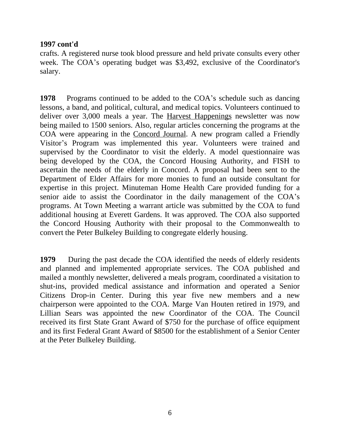#### **1997 cont'd**

crafts. A registered nurse took blood pressure and held private consults every other week. The COA's operating budget was \$3,492, exclusive of the Coordinator's salary.

**1978** Programs continued to be added to the COA's schedule such as dancing lessons, a band, and political, cultural, and medical topics. Volunteers continued to deliver over 3,000 meals a year. The Harvest Happenings newsletter was now being mailed to 1500 seniors. Also, regular articles concerning the programs at the COA were appearing in the Concord Journal. A new program called a Friendly Visitor's Program was implemented this year. Volunteers were trained and supervised by the Coordinator to visit the elderly. A model questionnaire was being developed by the COA, the Concord Housing Authority, and FISH to ascertain the needs of the elderly in Concord. A proposal had been sent to the Department of Elder Affairs for more monies to fund an outside consultant for expertise in this project. Minuteman Home Health Care provided funding for a senior aide to assist the Coordinator in the daily management of the COA's programs. At Town Meeting a warrant article was submitted by the COA to fund additional housing at Everett Gardens. It was approved. The COA also supported the Concord Housing Authority with their proposal to the Commonwealth to convert the Peter Bulkeley Building to congregate elderly housing.

**1979** During the past decade the COA identified the needs of elderly residents and planned and implemented appropriate services. The COA published and mailed a monthly newsletter, delivered a meals program, coordinated a visitation to shut-ins, provided medical assistance and information and operated a Senior Citizens Drop-in Center. During this year five new members and a new chairperson were appointed to the COA. Marge Van Houten retired in 1979, and Lillian Sears was appointed the new Coordinator of the COA. The Council received its first State Grant Award of \$750 for the purchase of office equipment and its first Federal Grant Award of \$8500 for the establishment of a Senior Center at the Peter Bulkeley Building.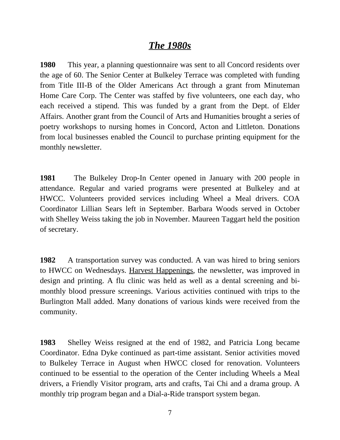### *The 1980s*

**1980** This year, a planning questionnaire was sent to all Concord residents over the age of 60. The Senior Center at Bulkeley Terrace was completed with funding from Title III-B of the Older Americans Act through a grant from Minuteman Home Care Corp. The Center was staffed by five volunteers, one each day, who each received a stipend. This was funded by a grant from the Dept. of Elder Affairs. Another grant from the Council of Arts and Humanities brought a series of poetry workshops to nursing homes in Concord, Acton and Littleton. Donations from local businesses enabled the Council to purchase printing equipment for the monthly newsletter.

**1981** The Bulkeley Drop-In Center opened in January with 200 people in attendance. Regular and varied programs were presented at Bulkeley and at HWCC. Volunteers provided services including Wheel a Meal drivers. COA Coordinator Lillian Sears left in September. Barbara Woods served in October with Shelley Weiss taking the job in November. Maureen Taggart held the position of secretary.

**1982** A transportation survey was conducted. A van was hired to bring seniors to HWCC on Wednesdays. Harvest Happenings, the newsletter, was improved in design and printing. A flu clinic was held as well as a dental screening and bimonthly blood pressure screenings. Various activities continued with trips to the Burlington Mall added. Many donations of various kinds were received from the community.

**1983** Shelley Weiss resigned at the end of 1982, and Patricia Long became Coordinator. Edna Dyke continued as part-time assistant. Senior activities moved to Bulkeley Terrace in August when HWCC closed for renovation. Volunteers continued to be essential to the operation of the Center including Wheels a Meal drivers, a Friendly Visitor program, arts and crafts, Tai Chi and a drama group. A monthly trip program began and a Dial-a-Ride transport system began.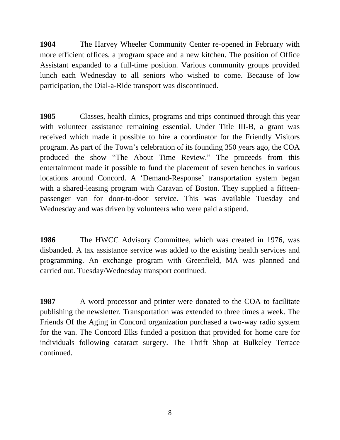**1984** The Harvey Wheeler Community Center re-opened in February with more efficient offices, a program space and a new kitchen. The position of Office Assistant expanded to a full-time position. Various community groups provided lunch each Wednesday to all seniors who wished to come. Because of low participation, the Dial-a-Ride transport was discontinued.

**1985** Classes, health clinics, programs and trips continued through this year with volunteer assistance remaining essential. Under Title III-B, a grant was received which made it possible to hire a coordinator for the Friendly Visitors program. As part of the Town's celebration of its founding 350 years ago, the COA produced the show "The About Time Review." The proceeds from this entertainment made it possible to fund the placement of seven benches in various locations around Concord. A 'Demand-Response' transportation system began with a shared-leasing program with Caravan of Boston. They supplied a fifteenpassenger van for door-to-door service. This was available Tuesday and Wednesday and was driven by volunteers who were paid a stipend.

**1986** The HWCC Advisory Committee, which was created in 1976, was disbanded. A tax assistance service was added to the existing health services and programming. An exchange program with Greenfield, MA was planned and carried out. Tuesday/Wednesday transport continued.

**1987** A word processor and printer were donated to the COA to facilitate publishing the newsletter. Transportation was extended to three times a week. The Friends Of the Aging in Concord organization purchased a two-way radio system for the van. The Concord Elks funded a position that provided for home care for individuals following cataract surgery. The Thrift Shop at Bulkeley Terrace continued.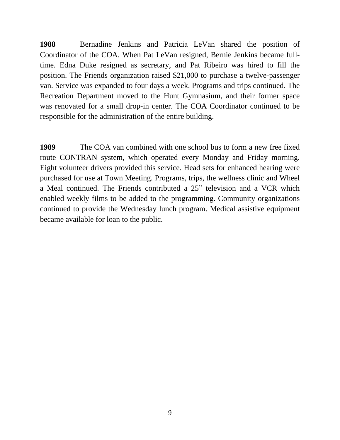**1988** Bernadine Jenkins and Patricia LeVan shared the position of Coordinator of the COA. When Pat LeVan resigned, Bernie Jenkins became fulltime. Edna Duke resigned as secretary, and Pat Ribeiro was hired to fill the position. The Friends organization raised \$21,000 to purchase a twelve-passenger van. Service was expanded to four days a week. Programs and trips continued. The Recreation Department moved to the Hunt Gymnasium, and their former space was renovated for a small drop-in center. The COA Coordinator continued to be responsible for the administration of the entire building.

**1989** The COA van combined with one school bus to form a new free fixed route CONTRAN system, which operated every Monday and Friday morning. Eight volunteer drivers provided this service. Head sets for enhanced hearing were purchased for use at Town Meeting. Programs, trips, the wellness clinic and Wheel a Meal continued. The Friends contributed a 25" television and a VCR which enabled weekly films to be added to the programming. Community organizations continued to provide the Wednesday lunch program. Medical assistive equipment became available for loan to the public.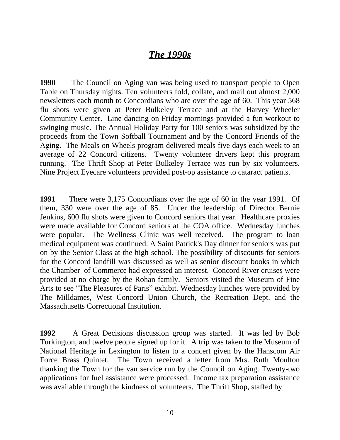### *The 1990s*

**1990** The Council on Aging van was being used to transport people to Open Table on Thursday nights. Ten volunteers fold, collate, and mail out almost 2,000 newsletters each month to Concordians who are over the age of 60. This year 568 flu shots were given at Peter Bulkeley Terrace and at the Harvey Wheeler Community Center. Line dancing on Friday mornings provided a fun workout to swinging music. The Annual Holiday Party for 100 seniors was subsidized by the proceeds from the Town Softball Tournament and by the Concord Friends of the Aging. The Meals on Wheels program delivered meals five days each week to an average of 22 Concord citizens. Twenty volunteer drivers kept this program running. The Thrift Shop at Peter Bulkeley Terrace was run by six volunteers. Nine Project Eyecare volunteers provided post-op assistance to cataract patients.

**1991** There were 3,175 Concordians over the age of 60 in the year 1991. Of them, 330 were over the age of 85. Under the leadership of Director Bernie Jenkins, 600 flu shots were given to Concord seniors that year. Healthcare proxies were made available for Concord seniors at the COA office. Wednesday lunches were popular. The Wellness Clinic was well received. The program to loan medical equipment was continued. A Saint Patrick's Day dinner for seniors was put on by the Senior Class at the high school. The possibility of discounts for seniors for the Concord landfill was discussed as well as senior discount books in which the Chamber of Commerce had expressed an interest. Concord River cruises were provided at no charge by the Rohan family. Seniors visited the Museum of Fine Arts to see "The Pleasures of Paris" exhibit. Wednesday lunches were provided by The Milldames, West Concord Union Church, the Recreation Dept. and the Massachusetts Correctional Institution.

**1992** A Great Decisions discussion group was started. It was led by Bob Turkington, and twelve people signed up for it. A trip was taken to the Museum of National Heritage in Lexington to listen to a concert given by the Hanscom Air Force Brass Quintet. The Town received a letter from Mrs. Ruth Moulton thanking the Town for the van service run by the Council on Aging. Twenty-two applications for fuel assistance were processed. Income tax preparation assistance was available through the kindness of volunteers. The Thrift Shop, staffed by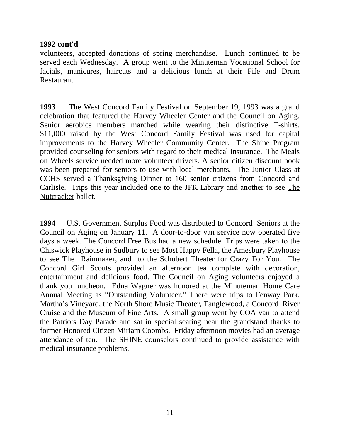#### **1992 cont'd**

volunteers, accepted donations of spring merchandise. Lunch continued to be served each Wednesday. A group went to the Minuteman Vocational School for facials, manicures, haircuts and a delicious lunch at their Fife and Drum Restaurant.

**1993** The West Concord Family Festival on September 19, 1993 was a grand celebration that featured the Harvey Wheeler Center and the Council on Aging. Senior aerobics members marched while wearing their distinctive T-shirts. \$11,000 raised by the West Concord Family Festival was used for capital improvements to the Harvey Wheeler Community Center. The Shine Program provided counseling for seniors with regard to their medical insurance. The Meals on Wheels service needed more volunteer drivers. A senior citizen discount book was been prepared for seniors to use with local merchants. The Junior Class at CCHS served a Thanksgiving Dinner to 160 senior citizens from Concord and Carlisle. Trips this year included one to the JFK Library and another to see The Nutcracker ballet.

**1994** U.S. Government Surplus Food was distributed to Concord Seniors at the Council on Aging on January 11. A door-to-door van service now operated five days a week. The Concord Free Bus had a new schedule. Trips were taken to the Chiswick Playhouse in Sudbury to see Most Happy Fella, the Amesbury Playhouse to see The Rainmaker, and to the Schubert Theater for Crazy For You. The Concord Girl Scouts provided an afternoon tea complete with decoration, entertainment and delicious food. The Council on Aging volunteers enjoyed a thank you luncheon. Edna Wagner was honored at the Minuteman Home Care Annual Meeting as "Outstanding Volunteer." There were trips to Fenway Park, Martha's Vineyard, the North Shore Music Theater, Tanglewood, a Concord River Cruise and the Museum of Fine Arts. A small group went by COA van to attend the Patriots Day Parade and sat in special seating near the grandstand thanks to former Honored Citizen Miriam Coombs. Friday afternoon movies had an average attendance of ten. The SHINE counselors continued to provide assistance with medical insurance problems.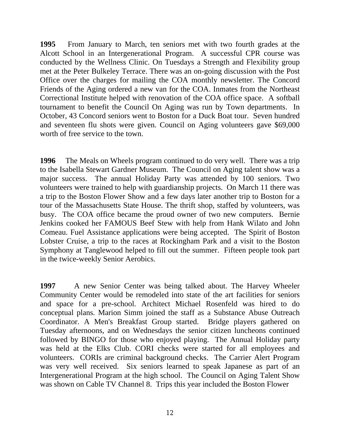**1995** From January to March, ten seniors met with two fourth grades at the Alcott School in an Intergenerational Program. A successful CPR course was conducted by the Wellness Clinic. On Tuesdays a Strength and Flexibility group met at the Peter Bulkeley Terrace. There was an on-going discussion with the Post Office over the charges for mailing the COA monthly newsletter. The Concord Friends of the Aging ordered a new van for the COA. Inmates from the Northeast Correctional Institute helped with renovation of the COA office space. A softball tournament to benefit the Council On Aging was run by Town departments. In October, 43 Concord seniors went to Boston for a Duck Boat tour. Seven hundred and seventeen flu shots were given. Council on Aging volunteers gave \$69,000 worth of free service to the town.

**1996** The Meals on Wheels program continued to do very well. There was a trip to the Isabella Stewart Gardner Museum. The Council on Aging talent show was a major success. The annual Holiday Party was attended by 100 seniors. Two volunteers were trained to help with guardianship projects. On March 11 there was a trip to the Boston Flower Show and a few days later another trip to Boston for a tour of the Massachusetts State House. The thrift shop, staffed by volunteers, was busy. The COA office became the proud owner of two new computers. Bernie Jenkins cooked her FAMOUS Beef Stew with help from Hank Wilato and John Comeau. Fuel Assistance applications were being accepted. The Spirit of Boston Lobster Cruise, a trip to the races at Rockingham Park and a visit to the Boston Symphony at Tanglewood helped to fill out the summer. Fifteen people took part in the twice-weekly Senior Aerobics.

**1997** A new Senior Center was being talked about. The Harvey Wheeler Community Center would be remodeled into state of the art facilities for seniors and space for a pre-school. Architect Michael Rosenfeld was hired to do conceptual plans. Marion Simm joined the staff as a Substance Abuse Outreach Coordinator. A Men's Breakfast Group started. Bridge players gathered on Tuesday afternoons, and on Wednesdays the senior citizen luncheons continued followed by BINGO for those who enjoyed playing. The Annual Holiday party was held at the Elks Club. CORI checks were started for all employees and volunteers. CORIs are criminal background checks. The Carrier Alert Program was very well received. Six seniors learned to speak Japanese as part of an Intergenerational Program at the high school. The Council on Aging Talent Show was shown on Cable TV Channel 8. Trips this year included the Boston Flower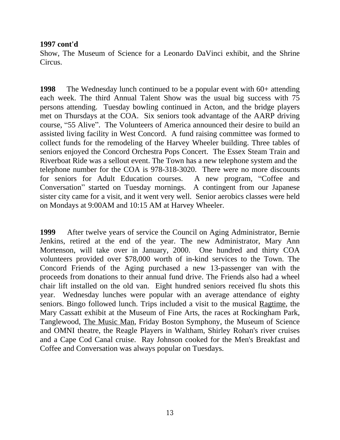#### **1997 cont'd**

Show, The Museum of Science for a Leonardo DaVinci exhibit, and the Shrine Circus.

**1998** The Wednesday lunch continued to be a popular event with 60+ attending each week. The third Annual Talent Show was the usual big success with 75 persons attending. Tuesday bowling continued in Acton, and the bridge players met on Thursdays at the COA. Six seniors took advantage of the AARP driving course, "55 Alive". The Volunteers of America announced their desire to build an assisted living facility in West Concord. A fund raising committee was formed to collect funds for the remodeling of the Harvey Wheeler building. Three tables of seniors enjoyed the Concord Orchestra Pops Concert. The Essex Steam Train and Riverboat Ride was a sellout event. The Town has a new telephone system and the telephone number for the COA is 978-318-3020. There were no more discounts for seniors for Adult Education courses. A new program, "Coffee and Conversation" started on Tuesday mornings. A contingent from our Japanese sister city came for a visit, and it went very well. Senior aerobics classes were held on Mondays at 9:00AM and 10:15 AM at Harvey Wheeler.

**1999** After twelve years of service the Council on Aging Administrator, Bernie Jenkins, retired at the end of the year. The new Administrator, Mary Ann Mortenson, will take over in January, 2000. One hundred and thirty COA volunteers provided over \$78,000 worth of in-kind services to the Town. The Concord Friends of the Aging purchased a new 13-passenger van with the proceeds from donations to their annual fund drive. The Friends also had a wheel chair lift installed on the old van. Eight hundred seniors received flu shots this year. Wednesday lunches were popular with an average attendance of eighty seniors. Bingo followed lunch. Trips included a visit to the musical Ragtime, the Mary Cassatt exhibit at the Museum of Fine Arts, the races at Rockingham Park, Tanglewood, The Music Man, Friday Boston Symphony, the Museum of Science and OMNI theatre, the Reagle Players in Waltham, Shirley Rohan's river cruises and a Cape Cod Canal cruise. Ray Johnson cooked for the Men's Breakfast and Coffee and Conversation was always popular on Tuesdays.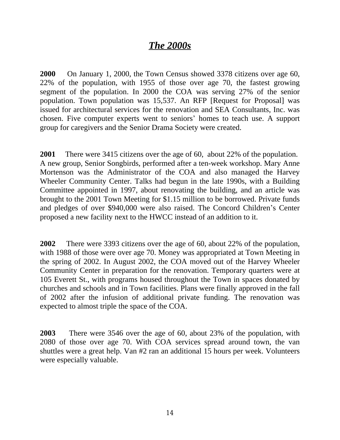## *The 2000s*

**2000** On January 1, 2000, the Town Census showed 3378 citizens over age 60, 22% of the population, with 1955 of those over age 70, the fastest growing segment of the population. In 2000 the COA was serving 27% of the senior population. Town population was 15,537. An RFP [Request for Proposal] was issued for architectural services for the renovation and SEA Consultants, Inc. was chosen. Five computer experts went to seniors' homes to teach use. A support group for caregivers and the Senior Drama Society were created.

**2001** There were 3415 citizens over the age of 60, about 22% of the population. A new group, Senior Songbirds, performed after a ten-week workshop. Mary Anne Mortenson was the Administrator of the COA and also managed the Harvey Wheeler Community Center. Talks had begun in the late 1990s, with a Building Committee appointed in 1997, about renovating the building, and an article was brought to the 2001 Town Meeting for \$1.15 million to be borrowed. Private funds and pledges of over \$940,000 were also raised. The Concord Children's Center proposed a new facility next to the HWCC instead of an addition to it.

**2002** There were 3393 citizens over the age of 60, about 22% of the population, with 1988 of those were over age 70. Money was appropriated at Town Meeting in the spring of 2002. In August 2002, the COA moved out of the Harvey Wheeler Community Center in preparation for the renovation. Temporary quarters were at 105 Everett St., with programs housed throughout the Town in spaces donated by churches and schools and in Town facilities. Plans were finally approved in the fall of 2002 after the infusion of additional private funding. The renovation was expected to almost triple the space of the COA.

**2003** There were 3546 over the age of 60, about 23% of the population, with 2080 of those over age 70. With COA services spread around town, the van shuttles were a great help. Van #2 ran an additional 15 hours per week. Volunteers were especially valuable.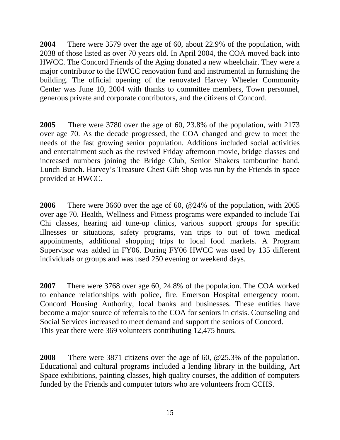**2004** There were 3579 over the age of 60, about 22.9% of the population, with 2038 of those listed as over 70 years old. In April 2004, the COA moved back into HWCC. The Concord Friends of the Aging donated a new wheelchair. They were a major contributor to the HWCC renovation fund and instrumental in furnishing the building. The official opening of the renovated Harvey Wheeler Community Center was June 10, 2004 with thanks to committee members, Town personnel, generous private and corporate contributors, and the citizens of Concord.

**2005** There were 3780 over the age of 60, 23.8% of the population, with 2173 over age 70. As the decade progressed, the COA changed and grew to meet the needs of the fast growing senior population. Additions included social activities and entertainment such as the revived Friday afternoon movie, bridge classes and increased numbers joining the Bridge Club, Senior Shakers tambourine band, Lunch Bunch. Harvey's Treasure Chest Gift Shop was run by the Friends in space provided at HWCC.

**2006** There were 3660 over the age of 60, @24% of the population, with 2065 over age 70. Health, Wellness and Fitness programs were expanded to include Tai Chi classes, hearing aid tune-up clinics, various support groups for specific illnesses or situations, safety programs, van trips to out of town medical appointments, additional shopping trips to local food markets. A Program Supervisor was added in FY06. During FY06 HWCC was used by 135 different individuals or groups and was used 250 evening or weekend days.

**2007** There were 3768 over age 60, 24.8% of the population. The COA worked to enhance relationships with police, fire, Emerson Hospital emergency room, Concord Housing Authority, local banks and businesses. These entities have become a major source of referrals to the COA for seniors in crisis. Counseling and Social Services increased to meet demand and support the seniors of Concord. This year there were 369 volunteers contributing 12,475 hours.

**2008** There were 3871 citizens over the age of 60, @25.3% of the population. Educational and cultural programs included a lending library in the building, Art Space exhibitions, painting classes, high quality courses, the addition of computers funded by the Friends and computer tutors who are volunteers from CCHS.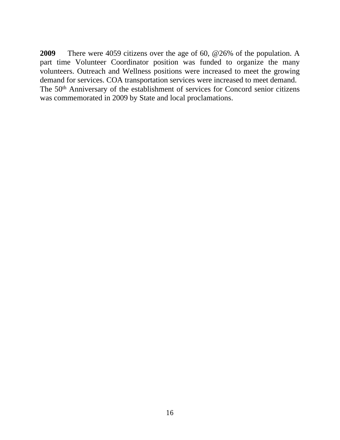**2009** There were 4059 citizens over the age of 60, @26% of the population. A part time Volunteer Coordinator position was funded to organize the many volunteers. Outreach and Wellness positions were increased to meet the growing demand for services. COA transportation services were increased to meet demand. The 50th Anniversary of the establishment of services for Concord senior citizens was commemorated in 2009 by State and local proclamations.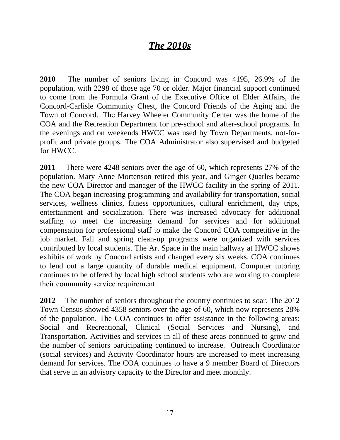## *The 2010s*

**2010** The number of seniors living in Concord was 4195, 26.9% of the population, with 2298 of those age 70 or older. Major financial support continued to come from the Formula Grant of the Executive Office of Elder Affairs, the Concord-Carlisle Community Chest, the Concord Friends of the Aging and the Town of Concord. The Harvey Wheeler Community Center was the home of the COA and the Recreation Department for pre-school and after-school programs. In the evenings and on weekends HWCC was used by Town Departments, not-forprofit and private groups. The COA Administrator also supervised and budgeted for HWCC.

**2011** There were 4248 seniors over the age of 60, which represents 27% of the population. Mary Anne Mortenson retired this year, and Ginger Quarles became the new COA Director and manager of the HWCC facility in the spring of 2011. The COA began increasing programming and availability for transportation, social services, wellness clinics, fitness opportunities, cultural enrichment, day trips, entertainment and socialization. There was increased advocacy for additional staffing to meet the increasing demand for services and for additional compensation for professional staff to make the Concord COA competitive in the job market. Fall and spring clean-up programs were organized with services contributed by local students. The Art Space in the main hallway at HWCC shows exhibits of work by Concord artists and changed every six weeks. COA continues to lend out a large quantity of durable medical equipment. Computer tutoring continues to be offered by local high school students who are working to complete their community service requirement.

**2012** The number of seniors throughout the country continues to soar. The 2012 Town Census showed 4358 seniors over the age of 60, which now represents 28% of the population. The COA continues to offer assistance in the following areas: Social and Recreational, Clinical (Social Services and Nursing), and Transportation. Activities and services in all of these areas continued to grow and the number of seniors participating continued to increase. Outreach Coordinator (social services) and Activity Coordinator hours are increased to meet increasing demand for services. The COA continues to have a 9 member Board of Directors that serve in an advisory capacity to the Director and meet monthly.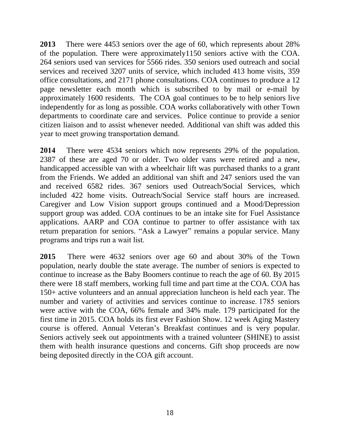**2013** There were 4453 seniors over the age of 60, which represents about 28% of the population. There were approximately1150 seniors active with the COA. 264 seniors used van services for 5566 rides. 350 seniors used outreach and social services and received 3207 units of service, which included 413 home visits, 359 office consultations, and 2171 phone consultations. COA continues to produce a 12 page newsletter each month which is subscribed to by mail or e-mail by approximately 1600 residents. The COA goal continues to be to help seniors live independently for as long as possible. COA works collaboratively with other Town departments to coordinate care and services. Police continue to provide a senior citizen liaison and to assist whenever needed. Additional van shift was added this year to meet growing transportation demand.

**2014**  There were 4534 seniors which now represents 29% of the population. 2387 of these are aged 70 or older. Two older vans were retired and a new, handicapped accessible van with a wheelchair lift was purchased thanks to a grant from the Friends. We added an additional van shift and 247 seniors used the van and received 6582 rides. 367 seniors used Outreach/Social Services, which included 422 home visits. Outreach/Social Service staff hours are increased. Caregiver and Low Vision support groups continued and a Mood/Depression support group was added. COA continues to be an intake site for Fuel Assistance applications. AARP and COA continue to partner to offer assistance with tax return preparation for seniors. "Ask a Lawyer" remains a popular service. Many programs and trips run a wait list.

**2015** There were 4632 seniors over age 60 and about 30% of the Town population, nearly double the state average. The number of seniors is expected to continue to increase as the Baby Boomers continue to reach the age of 60. By 2015 there were 18 staff members, working full time and part time at the COA. COA has 150+ active volunteers and an annual appreciation luncheon is held each year. The number and variety of activities and services continue to increase. 1785 seniors were active with the COA, 66% female and 34% male. 179 participated for the first time in 2015. COA holds its first ever Fashion Show. 12 week Aging Mastery course is offered. Annual Veteran's Breakfast continues and is very popular. Seniors actively seek out appointments with a trained volunteer (SHINE) to assist them with health insurance questions and concerns. Gift shop proceeds are now being deposited directly in the COA gift account.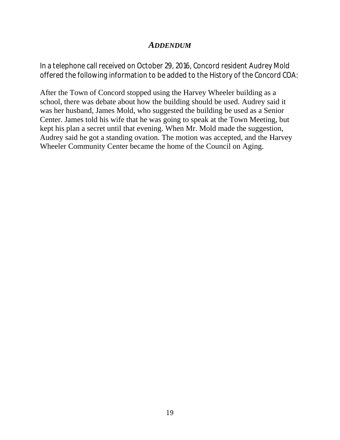#### *ADDENDUM*

*In a telephone call received on October 29, 2016, Concord resident Audrey Mold offered the following information to be added to the History of the Concord COA:*

After the Town of Concord stopped using the Harvey Wheeler building as a school, there was debate about how the building should be used. Audrey said it was her husband, James Mold, who suggested the building be used as a Senior Center. James told his wife that he was going to speak at the Town Meeting, but kept his plan a secret until that evening. When Mr. Mold made the suggestion, Audrey said he got a standing ovation. The motion was accepted, and the Harvey Wheeler Community Center became the home of the Council on Aging.